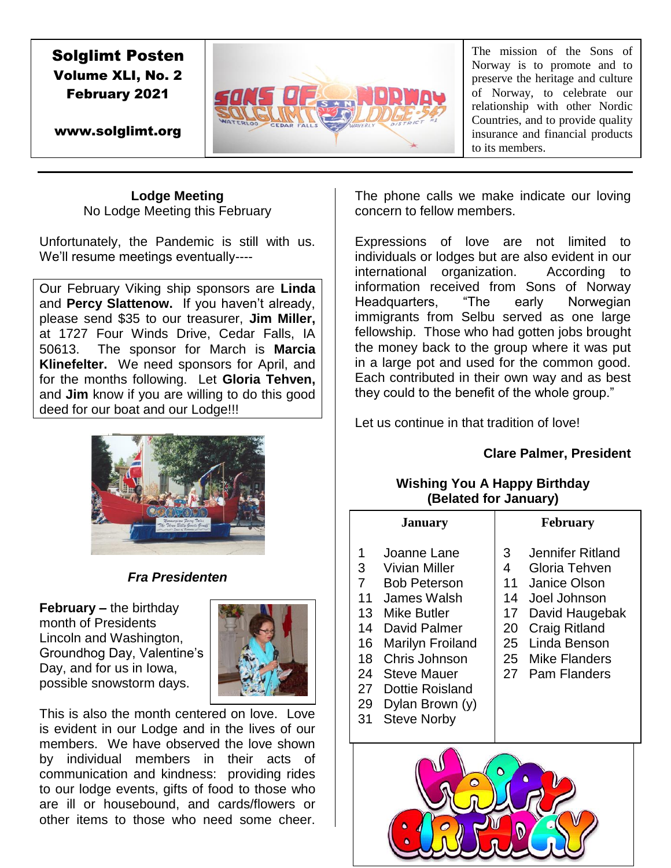# Solglimt Posten Volume XLI, No. 2 February 2021



The mission of the Sons of Norway is to promote and to preserve the heritage and culture of Norway, to celebrate our relationship with other Nordic Countries, and to provide quality insurance and financial products to its members.

www.solglimt.org

# **Lodge Meeting** No Lodge Meeting this February

Unfortunately, the Pandemic is still with us. We'll resume meetings eventually----

Our February Viking ship sponsors are **Linda**  and **Percy Slattenow.** If you haven't already, please send \$35 to our treasurer, **Jim Miller,**  at 1727 Four Winds Drive, Cedar Falls, IA 50613. The sponsor for March is **Marcia Klinefelter.** We need sponsors for April, and for the months following. Let **Gloria Tehven,**  and **Jim** know if you are willing to do this good deed for our boat and our Lodge!!!



# *Fra Presidenten*

**February –** the birthday month of Presidents Lincoln and Washington, Groundhog Day, Valentine's Day, and for us in Iowa, possible snowstorm days.



This is also the month centered on love. Love is evident in our Lodge and in the lives of our members. We have observed the love shown by individual members in their acts of communication and kindness: providing rides to our lodge events, gifts of food to those who are ill or housebound, and cards/flowers or other items to those who need some cheer.

The phone calls we make indicate our loving concern to fellow members.

Expressions of love are not limited to individuals or lodges but are also evident in our international organization. According to information received from Sons of Norway Headquarters, "The early Norwegian immigrants from Selbu served as one large fellowship. Those who had gotten jobs brought the money back to the group where it was put in a large pot and used for the common good. Each contributed in their own way and as best they could to the benefit of the whole group."

Let us continue in that tradition of love!

# **Clare Palmer, President**

# **Wishing You A Happy Birthday (Belated for January)**

| <b>January</b>                                                                               |                                                                                                                                                                                                                                 | <b>February</b>                            |                                                                                                                                                                        |
|----------------------------------------------------------------------------------------------|---------------------------------------------------------------------------------------------------------------------------------------------------------------------------------------------------------------------------------|--------------------------------------------|------------------------------------------------------------------------------------------------------------------------------------------------------------------------|
| 1<br>3<br>$\overline{7}$<br>11<br>13 <sup>13</sup><br>14<br>16<br>18<br>24<br>27<br>29<br>31 | Joanne Lane<br>Vivian Miller<br><b>Bob Peterson</b><br>James Walsh<br>Mike Butler<br>David Palmer<br>Marilyn Froiland<br>Chris Johnson<br><b>Steve Mauer</b><br><b>Dottie Roisland</b><br>Dylan Brown (y)<br><b>Steve Norby</b> | 3<br>4<br>11<br>14<br>17<br>20<br>25<br>27 | Jennifer Ritland<br>Gloria Tehven<br>Janice Olson<br>Joel Johnson<br>David Haugebak<br><b>Craig Ritland</b><br>Linda Benson<br>25 Mike Flanders<br><b>Pam Flanders</b> |

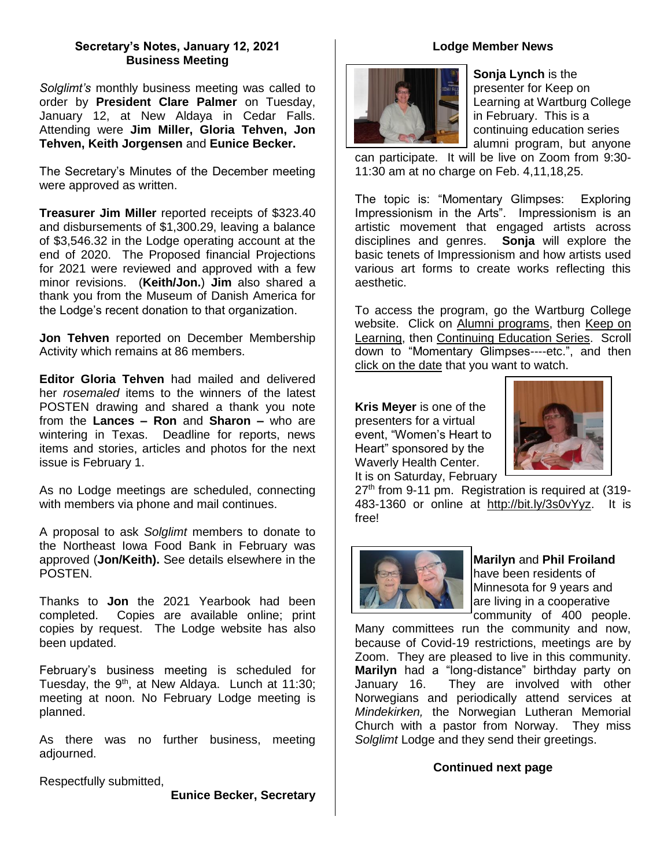## **Secretary's Notes, January 12, 2021 Business Meeting**

*Solglimt's* monthly business meeting was called to order by **President Clare Palmer** on Tuesday, January 12, at New Aldaya in Cedar Falls. Attending were **Jim Miller, Gloria Tehven, Jon Tehven, Keith Jorgensen** and **Eunice Becker.** 

The Secretary's Minutes of the December meeting were approved as written.

**Treasurer Jim Miller** reported receipts of \$323.40 and disbursements of \$1,300.29, leaving a balance of \$3,546.32 in the Lodge operating account at the end of 2020. The Proposed financial Projections for 2021 were reviewed and approved with a few minor revisions. (**Keith/Jon.**) **Jim** also shared a thank you from the Museum of Danish America for the Lodge's recent donation to that organization.

**Jon Tehven** reported on December Membership Activity which remains at 86 members.

**Editor Gloria Tehven** had mailed and delivered her *rosemaled* items to the winners of the latest POSTEN drawing and shared a thank you note from the **Lances – Ron** and **Sharon –** who are wintering in Texas. Deadline for reports, news items and stories, articles and photos for the next issue is February 1.

As no Lodge meetings are scheduled, connecting with members via phone and mail continues.

A proposal to ask *Solglimt* members to donate to the Northeast Iowa Food Bank in February was approved (**Jon/Keith).** See details elsewhere in the POSTEN.

Thanks to **Jon** the 2021 Yearbook had been completed. Copies are available online; print copies by request. The Lodge website has also been updated.

February's business meeting is scheduled for Tuesday, the  $9<sup>th</sup>$ , at New Aldaya. Lunch at 11:30; meeting at noon. No February Lodge meeting is planned.

As there was no further business, meeting adjourned.

Respectfully submitted,

**Eunice Becker, Secretary**

# **Lodge Member News**



**Sonja Lynch** is the presenter for Keep on Learning at Wartburg College in February. This is a continuing education series alumni program, but anyone

can participate. It will be live on Zoom from 9:30- 11:30 am at no charge on Feb. 4,11,18,25.

The topic is: "Momentary Glimpses: Exploring Impressionism in the Arts". Impressionism is an artistic movement that engaged artists across disciplines and genres. **Sonja** will explore the basic tenets of Impressionism and how artists used various art forms to create works reflecting this aesthetic.

To access the program, go the Wartburg College website. Click on Alumni programs, then Keep on Learning, then Continuing Education Series. Scroll down to "Momentary Glimpses----etc.", and then click on the date that you want to watch.

**Kris Meyer** is one of the presenters for a virtual event, "Women's Heart to Heart" sponsored by the Waverly Health Center. It is on Saturday, February



 $27<sup>th</sup>$  from 9-11 pm. Registration is required at  $(319-$ 483-1360 or online at [http://bit.ly/3s0vYyz.](http://bit.ly/3s0vYyz) It is free!



**Marilyn** and **Phil Froiland**  have been residents of Minnesota for 9 years and are living in a cooperative community of 400 people.

Many committees run the community and now, because of Covid-19 restrictions, meetings are by Zoom. They are pleased to live in this community. **Marilyn** had a "long-distance" birthday party on January 16. They are involved with other Norwegians and periodically attend services at *Mindekirken,* the Norwegian Lutheran Memorial Church with a pastor from Norway. They miss *Solglimt* Lodge and they send their greetings.

## **Continued next page**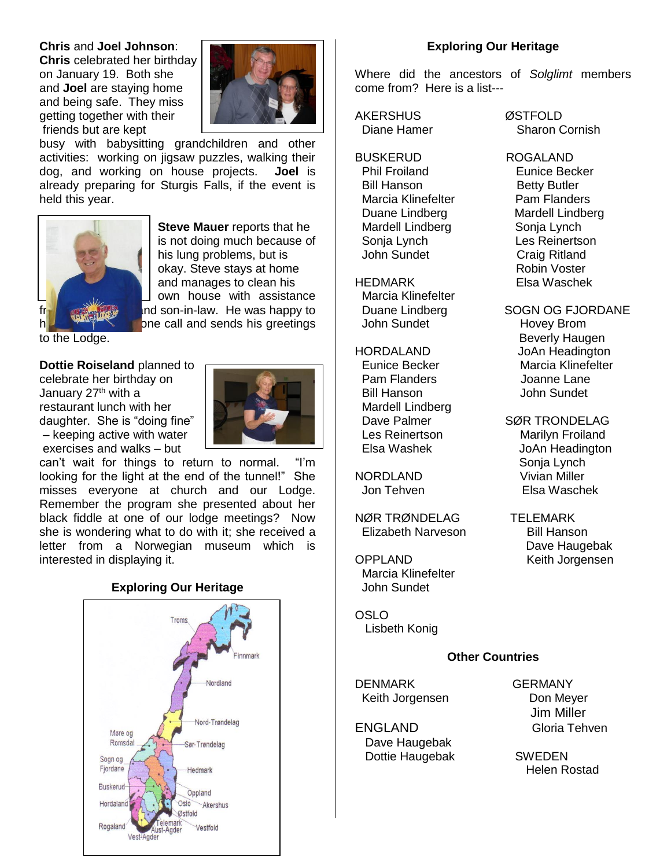### **Chris** and **Joel Johnson**:

**Chris** celebrated her birthday on January 19. Both she and **Joel** are staying home and being safe. They miss getting together with their friends but are kept



busy with babysitting grandchildren and other activities: working on jigsaw puzzles, walking their dog, and working on house projects. **Joel** is already preparing for Sturgis Falls, if the event is held this year.



**Steve Mauer** reports that he is not doing much because of his lung problems, but is okay. Steve stays at home and manages to clean his own house with assistance  $f(r)$  and  $r$  and son-in-law. He was happy to have a big a big and sends his greetings

to the Lodge.

**Dottie Roiseland** planned to

celebrate her birthday on January 27<sup>th</sup> with a restaurant lunch with her daughter. She is "doing fine" – keeping active with water exercises and walks – but



can't wait for things to return to normal. "I'm looking for the light at the end of the tunnel!" She misses everyone at church and our Lodge. Remember the program she presented about her black fiddle at one of our lodge meetings? Now she is wondering what to do with it; she received a letter from a Norwegian museum which is interested in displaying it.

## **Exploring Our Heritage**



#### **Exploring Our Heritage**

Where did the ancestors of *Solglimt* members come from? Here is a list---

AKERSHUS ØSTFOLD

BUSKERUD ROGALAND **Phil Froiland Eunice Becker** Bill Hanson<br>
Marcia Klinefelter
Same Flanders Marcia Klinefelter Duane Lindberg Mardell Lindberg Mardell Lindberg Sonja Lynch Sonja Lynch Les Reinertson John Sundet Craig Ritland

HEDMARK Elsa Waschek Marcia Klinefelter John Sundet Hovey Brom

Pam Flanders **Communist Communist Communist Communist Communist Communist Communist Communist Communist Communist Communist Communist Communist Communist Communist Communist Communist Communist Communist Communist Communis**  Bill Hanson John Sundet Mardell Lindberg

NØR TRØNDELAG TELEMARK Elizabeth Narveson Bill Hanson

 Marcia Klinefelter John Sundet

OSLO Lisbeth Konig

### **Other Countries**

DENMARK GERMANY Keith Jorgensen **Don Meyer** 

 Dave Haugebak Dottie Haugebak SWEDEN

Diane Hamer Sharon Cornish

Robin Voster

Duane Lindberg SOGN OG FJORDANE Beverly Haugen HORDALAND JoAn Headington Eunice Becker Marcia Klinefelter

Dave Palmer SØR TRONDELAG Les Reinertson Marilyn Froiland Elsa Washek JoAn Headington Sonja Lynch NORDLAND Vivian Miller Jon Tehven Elsa Waschek

 Dave Haugebak OPPLAND Keith Jorgensen

 Jim Miller ENGLAND Gloria Tehven

Helen Rostad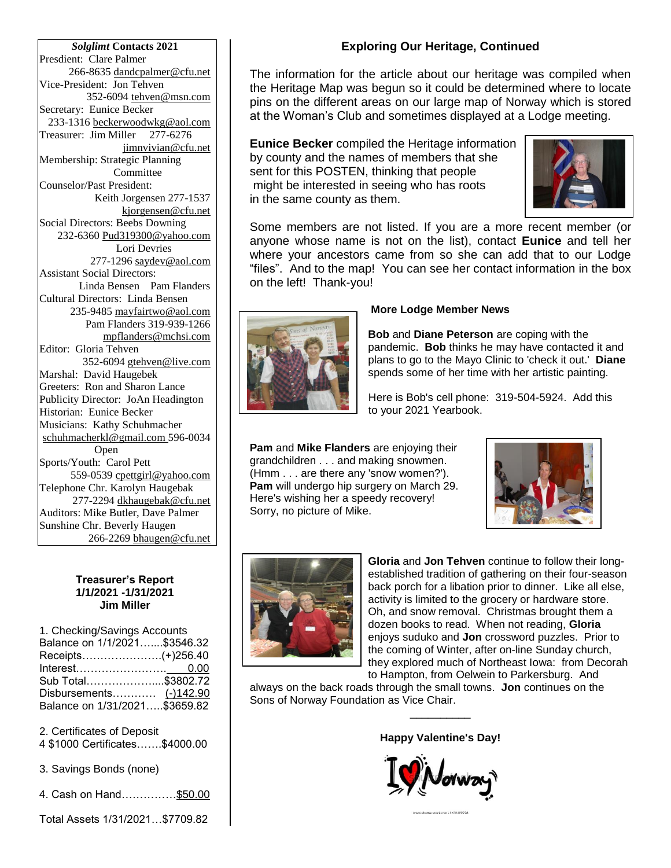*Solglimt* **Contacts 2021** Presdient: Clare Palmer 266-8635 dandcpalmer@cfu.net Vice-President: Jon Tehven 352-6094 tehven@msn.com Secretary: Eunice Becker 233-1316 [beckerwoodwkg@aol.com](mailto:beckerwoodwkg@aol.com) Treasurer: Jim Miller 277-6276 jimnvivian@cfu.net Membership: Strategic Planning Committee Counselor/Past President: Keith Jorgensen 277-1537 kjorgensen@cfu.net Social Directors: Beebs Downing 232-6360 Pud319300@yahoo.com Lori Devries 277-1296 saydev@aol.com Assistant Social Directors: Linda Bensen Pam Flanders Cultural Directors: Linda Bensen 235-9485 [mayfairtwo@aol.com](mailto:mayfairtwo@aol.com)  Pam Flanders 319-939-1266 mpflanders@mchsi.com Editor: Gloria Tehven 352-6094 [gtehven@live.com](mailto:gtehven@live.com) Marshal: David Haugebek Greeters: Ron and Sharon Lance Publicity Director: JoAn Headington Historian: Eunice Becker Musicians: Kathy Schuhmacher [schuhmacherkl@gmail.com](mailto:schuhmacherkl@gmail.com) 596-0034 Open Sports/Youth: Carol Pett 559-0539 cpettgirl@yahoo.com Telephone Chr. Karolyn Haugebak 277-2294 [dkhaugebak@cfu.net](mailto:dkhaugebak@cfu.net) Auditors: Mike Butler, Dave Palmer Sunshine Chr. Beverly Haugen 266-2269 bhaugen@cfu.net

#### **Treasurer's Report 1/1/2021 -1/31/2021 Jim Miller**

1. Checking/Savings Accounts Balance on 1/1/2021…....\$3546.32 Receipts………………….(+)256.40 Interest……………………. 0.00 Sub Total………………....\$3802.72 Disbursements………… (-)142.90 Balance on 1/31/2021…..\$3659.82

2. Certificates of Deposit

4 \$1000 Certificates…….\$4000.00

3. Savings Bonds (none)

4. Cash on Hand……………\$50.00

Total Assets 1/31/2021…\$7709.82

# **Exploring Our Heritage, Continued**

The information for the article about our heritage was compiled when the Heritage Map was begun so it could be determined where to locate pins on the different areas on our large map of Norway which is stored at the Woman's Club and sometimes displayed at a Lodge meeting.

**Eunice Becker** compiled the Heritage information by county and the names of members that she sent for this POSTEN, thinking that people might be interested in seeing who has roots in the same county as them.



Some members are not listed. If you are a more recent member (or anyone whose name is not on the list), contact **Eunice** and tell her where your ancestors came from so she can add that to our Lodge "files". And to the map! You can see her contact information in the box on the left! Thank-you!



## **More Lodge Member News**

**Bob** and **Diane Peterson** are coping with the pandemic. **Bob** thinks he may have contacted it and plans to go to the Mayo Clinic to 'check it out.' **Diane** spends some of her time with her artistic painting.

 Here is Bob's cell phone: 319-504-5924. Add this to your 2021 Yearbook.

**Pam** and **Mike Flanders** are enjoying their grandchildren . . . and making snowmen. (Hmm . . . are there any 'snow women?'). **Pam** will undergo hip surgery on March 29. Here's wishing her a speedy recovery! Sorry, no picture of Mike.





**Gloria** and **Jon Tehven** continue to follow their longestablished tradition of gathering on their four-season back porch for a libation prior to dinner. Like all else, activity is limited to the grocery or hardware store. Oh, and snow removal. Christmas brought them a dozen books to read. When not reading, **Gloria** enjoys suduko and **Jon** crossword puzzles. Prior to the coming of Winter, after on-line Sunday church, they explored much of Northeast Iowa: from Decorah to Hampton, from Oelwein to Parkersburg. And

always on the back roads through the small towns. **Jon** continues on the Sons of Norway Foundation as Vice Chair.

**Happy Valentine's Day!**

\_\_\_\_\_\_\_\_\_\_

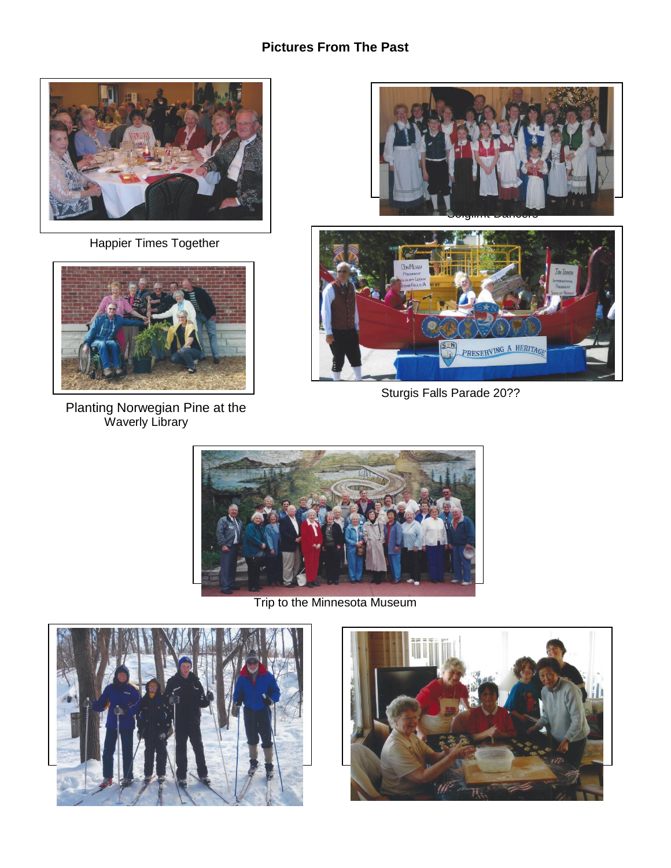# **Pictures From The Past**



Happier Times Together



 Planting Norwegian Pine at the Waverly Library





Sturgis Falls Parade 20??



Trip to the Minnesota Museum